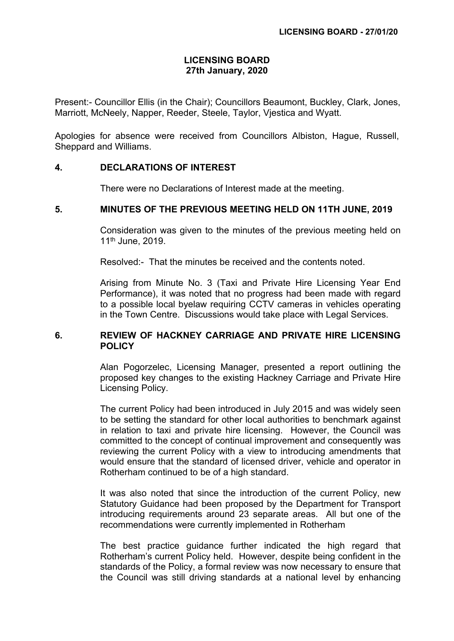## **LICENSING BOARD 27th January, 2020**

Present:- Councillor Ellis (in the Chair); Councillors Beaumont, Buckley, Clark, Jones, Marriott, McNeely, Napper, Reeder, Steele, Taylor, Vjestica and Wyatt.

Apologies for absence were received from Councillors Albiston, Hague, Russell, Sheppard and Williams.

## **4. DECLARATIONS OF INTEREST**

There were no Declarations of Interest made at the meeting.

## **5. MINUTES OF THE PREVIOUS MEETING HELD ON 11TH JUNE, 2019**

Consideration was given to the minutes of the previous meeting held on 11th June, 2019.

Resolved:- That the minutes be received and the contents noted.

Arising from Minute No. 3 (Taxi and Private Hire Licensing Year End Performance), it was noted that no progress had been made with regard to a possible local byelaw requiring CCTV cameras in vehicles operating in the Town Centre. Discussions would take place with Legal Services.

## **6. REVIEW OF HACKNEY CARRIAGE AND PRIVATE HIRE LICENSING POLICY**

Alan Pogorzelec, Licensing Manager, presented a report outlining the proposed key changes to the existing Hackney Carriage and Private Hire Licensing Policy.

The current Policy had been introduced in July 2015 and was widely seen to be setting the standard for other local authorities to benchmark against in relation to taxi and private hire licensing. However, the Council was committed to the concept of continual improvement and consequently was reviewing the current Policy with a view to introducing amendments that would ensure that the standard of licensed driver, vehicle and operator in Rotherham continued to be of a high standard.

It was also noted that since the introduction of the current Policy, new Statutory Guidance had been proposed by the Department for Transport introducing requirements around 23 separate areas. All but one of the recommendations were currently implemented in Rotherham

The best practice guidance further indicated the high regard that Rotherham's current Policy held. However, despite being confident in the standards of the Policy, a formal review was now necessary to ensure that the Council was still driving standards at a national level by enhancing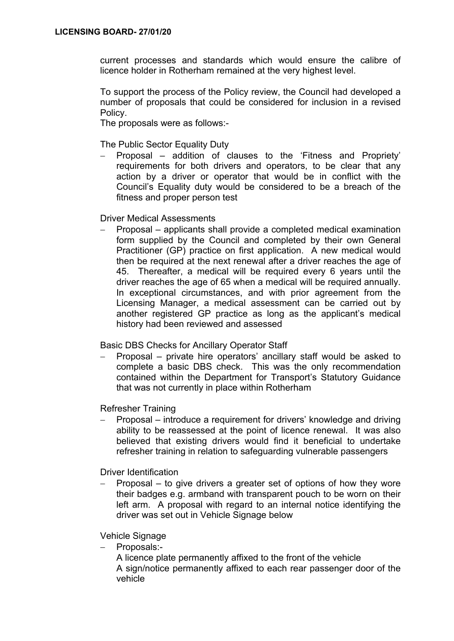current processes and standards which would ensure the calibre of licence holder in Rotherham remained at the very highest level.

To support the process of the Policy review, the Council had developed a number of proposals that could be considered for inclusion in a revised Policy.

The proposals were as follows:-

The Public Sector Equality Duty

 Proposal – addition of clauses to the 'Fitness and Propriety' requirements for both drivers and operators, to be clear that any action by a driver or operator that would be in conflict with the Council's Equality duty would be considered to be a breach of the fitness and proper person test

Driver Medical Assessments

 Proposal – applicants shall provide a completed medical examination form supplied by the Council and completed by their own General Practitioner (GP) practice on first application. A new medical would then be required at the next renewal after a driver reaches the age of 45. Thereafter, a medical will be required every 6 years until the driver reaches the age of 65 when a medical will be required annually. In exceptional circumstances, and with prior agreement from the Licensing Manager, a medical assessment can be carried out by another registered GP practice as long as the applicant's medical history had been reviewed and assessed

Basic DBS Checks for Ancillary Operator Staff

 Proposal – private hire operators' ancillary staff would be asked to complete a basic DBS check. This was the only recommendation contained within the Department for Transport's Statutory Guidance that was not currently in place within Rotherham

Refresher Training

 Proposal – introduce a requirement for drivers' knowledge and driving ability to be reassessed at the point of licence renewal. It was also believed that existing drivers would find it beneficial to undertake refresher training in relation to safeguarding vulnerable passengers

Driver Identification

 Proposal – to give drivers a greater set of options of how they wore their badges e.g. armband with transparent pouch to be worn on their left arm. A proposal with regard to an internal notice identifying the driver was set out in Vehicle Signage below

Vehicle Signage

Proposals:-

A licence plate permanently affixed to the front of the vehicle A sign/notice permanently affixed to each rear passenger door of the vehicle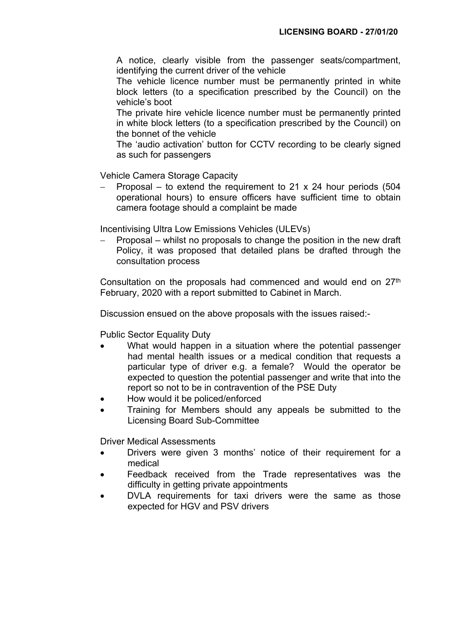A notice, clearly visible from the passenger seats/compartment, identifying the current driver of the vehicle

The vehicle licence number must be permanently printed in white block letters (to a specification prescribed by the Council) on the vehicle's boot

The private hire vehicle licence number must be permanently printed in white block letters (to a specification prescribed by the Council) on the bonnet of the vehicle

The 'audio activation' button for CCTV recording to be clearly signed as such for passengers

Vehicle Camera Storage Capacity

 Proposal – to extend the requirement to 21 x 24 hour periods (504 operational hours) to ensure officers have sufficient time to obtain camera footage should a complaint be made

Incentivising Ultra Low Emissions Vehicles (ULEVs)

 Proposal – whilst no proposals to change the position in the new draft Policy, it was proposed that detailed plans be drafted through the consultation process

Consultation on the proposals had commenced and would end on 27<sup>th</sup> February, 2020 with a report submitted to Cabinet in March.

Discussion ensued on the above proposals with the issues raised:-

Public Sector Equality Duty

- What would happen in a situation where the potential passenger had mental health issues or a medical condition that requests a particular type of driver e.g. a female? Would the operator be expected to question the potential passenger and write that into the report so not to be in contravention of the PSE Duty
- How would it be policed/enforced
- Training for Members should any appeals be submitted to the Licensing Board Sub-Committee

Driver Medical Assessments

- Drivers were given 3 months' notice of their requirement for a medical
- Feedback received from the Trade representatives was the difficulty in getting private appointments
- DVLA requirements for taxi drivers were the same as those expected for HGV and PSV drivers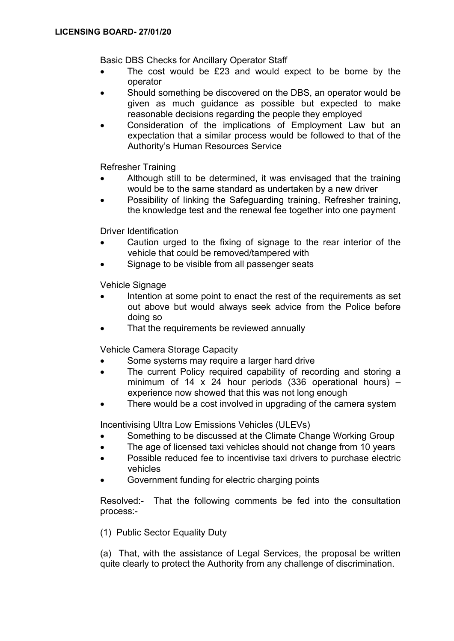Basic DBS Checks for Ancillary Operator Staff

- The cost would be £23 and would expect to be borne by the operator
- Should something be discovered on the DBS, an operator would be given as much guidance as possible but expected to make reasonable decisions regarding the people they employed
- Consideration of the implications of Employment Law but an expectation that a similar process would be followed to that of the Authority's Human Resources Service

Refresher Training

- Although still to be determined, it was envisaged that the training would be to the same standard as undertaken by a new driver
- Possibility of linking the Safeguarding training, Refresher training, the knowledge test and the renewal fee together into one payment

Driver Identification

- Caution urged to the fixing of signage to the rear interior of the vehicle that could be removed/tampered with
- Signage to be visible from all passenger seats

Vehicle Signage

- Intention at some point to enact the rest of the requirements as set out above but would always seek advice from the Police before doing so
- That the requirements be reviewed annually

Vehicle Camera Storage Capacity

- Some systems may require a larger hard drive
- The current Policy required capability of recording and storing a minimum of 14 x 24 hour periods  $(336$  operational hours) – experience now showed that this was not long enough
- There would be a cost involved in upgrading of the camera system

Incentivising Ultra Low Emissions Vehicles (ULEVs)

- Something to be discussed at the Climate Change Working Group
- The age of licensed taxi vehicles should not change from 10 years
- Possible reduced fee to incentivise taxi drivers to purchase electric vehicles
- Government funding for electric charging points

Resolved:- That the following comments be fed into the consultation process:-

(1) Public Sector Equality Duty

(a) That, with the assistance of Legal Services, the proposal be written quite clearly to protect the Authority from any challenge of discrimination.